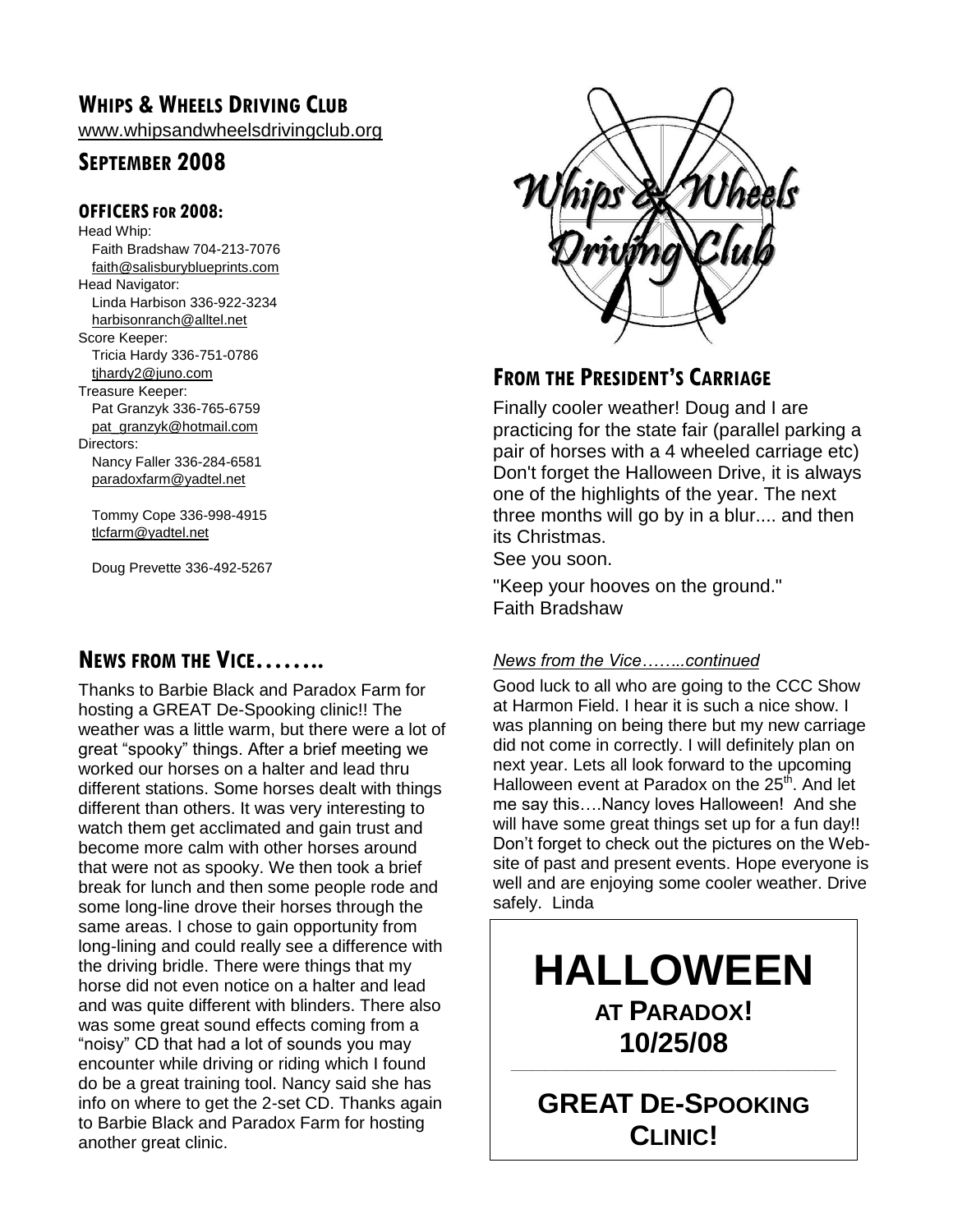### **WHIPS & WHEELS DRIVING CLUB**

[www.whipsandwheelsdrivingclub.org](http://www.whipsandwheelsdrivingclub.org/)

### **SEPTEMBER 2008**

#### **OFFICERSFOR 2008:**

Head Whip: Faith Bradshaw 704-213-7076 [faith@salisburyblueprints.com](mailto:faith@salisburyblueprints.com) Head Navigator: Linda Harbison 336-922-3234 [harbisonranch@alltel.net](mailto:harbisonranch@alltel.net) Score Keeper: Tricia Hardy 336-751-0786 [tjhardy2@juno.com](mailto:tjhardy2@juno.com) Treasure Keeper: Pat Granzyk 336-765-6759 [pat\\_granzyk@hotmail.com](mailto:pat_granzyk@hotmail.com) Directors: Nancy Faller 336-284-6581 [paradoxfarm@yadtel.net](mailto:paradoxfarm@yadtel.net)

Tommy Cope 336-998-4915 [tlcfarm@yadtel.net](mailto:tlcfarm@yadtel.net)

Doug Prevette 336-492-5267

### **NEWS FROM THE VICE……..**

Thanks to Barbie Black and Paradox Farm for hosting a GREAT De-Spooking clinic!! The weather was a little warm, but there were a lot of great "spooky" things. After a brief meeting we worked our horses on a halter and lead thru different stations. Some horses dealt with things different than others. It was very interesting to watch them get acclimated and gain trust and become more calm with other horses around that were not as spooky. We then took a brief break for lunch and then some people rode and some long-line drove their horses through the same areas. I chose to gain opportunity from long-lining and could really see a difference with the driving bridle. There were things that my horse did not even notice on a halter and lead and was quite different with blinders. There also was some great sound effects coming from a "noisy" CD that had a lot of sounds you may encounter while driving or riding which I found do be a great training tool. Nancy said she has info on where to get the 2-set CD. Thanks again to Barbie Black and Paradox Farm for hosting another great clinic.



### **FROM THE PRESIDENT'S CARRIAGE**

Finally cooler weather! Doug and I are practicing for the state fair (parallel parking a pair of horses with a 4 wheeled carriage etc) Don't forget the Halloween Drive, it is always one of the highlights of the year. The next three months will go by in a blur.... and then its Christmas.

See you soon.

"Keep your hooves on the ground." Faith Bradshaw

#### *News from the Vice……..continued*

Good luck to all who are going to the CCC Show at Harmon Field. I hear it is such a nice show. I was planning on being there but my new carriage did not come in correctly. I will definitely plan on next year. Lets all look forward to the upcoming Halloween event at Paradox on the 25<sup>th</sup>. And let me say this….Nancy loves Halloween! And she will have some great things set up for a fun day!! Don't forget to check out the pictures on the Website of past and present events. Hope everyone is well and are enjoying some cooler weather. Drive safely. Linda

# **HALLOWEEN AT PARADOX! 10/25/08**

**GREAT DE-SPOOKING CLINIC!**

See stories inside

**\_\_\_\_\_\_\_\_\_\_\_\_\_\_\_\_\_\_\_\_\_\_\_\_\_\_\_\_\_\_\_\_\_\_\_\_\_\_\_\_\_\_\_\_\_\_\_**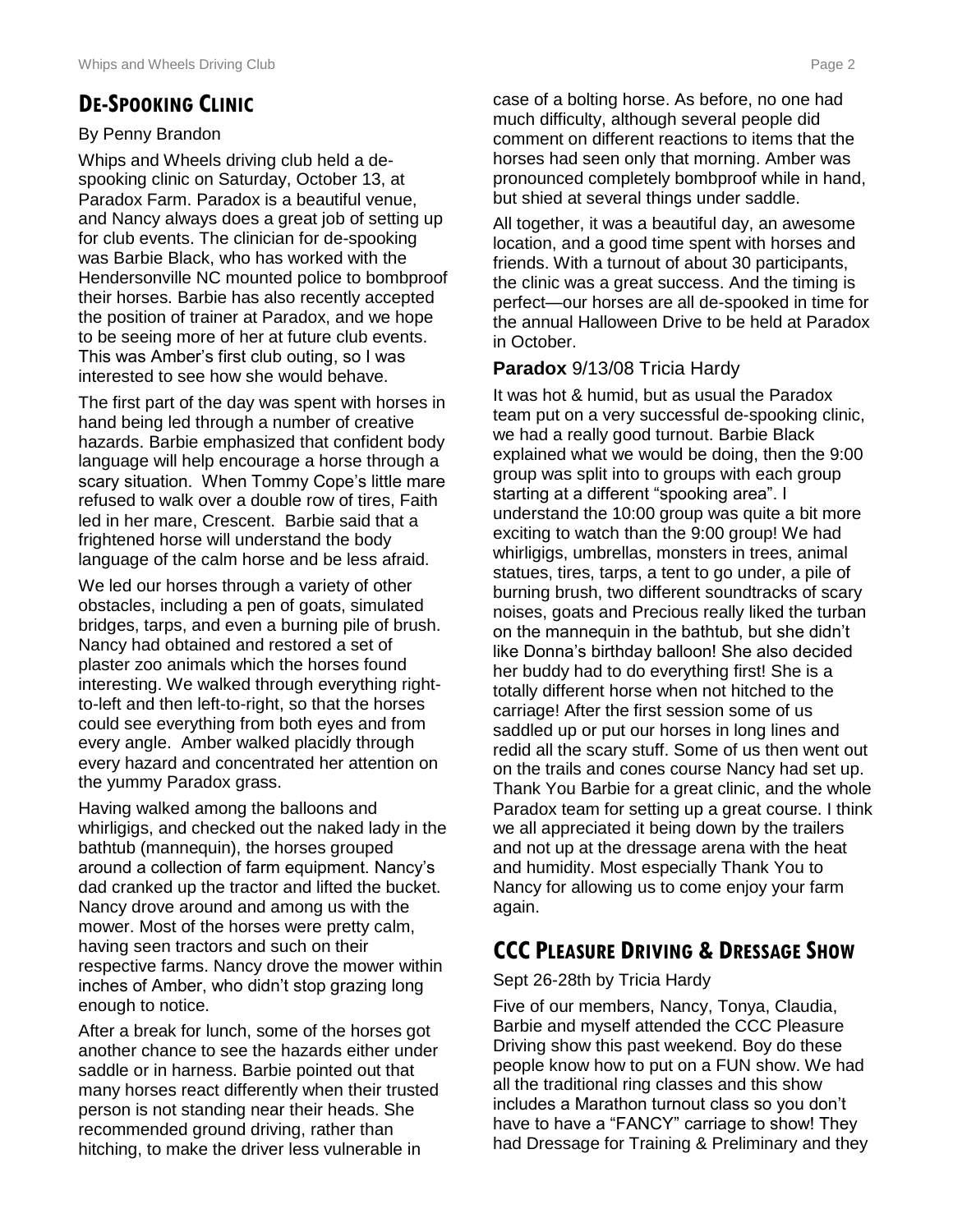### **DE-SPOOKING CLINIC**

#### By Penny Brandon

Whips and Wheels driving club held a despooking clinic on Saturday, October 13, at Paradox Farm. Paradox is a beautiful venue, and Nancy always does a great job of setting up for club events. The clinician for de-spooking was Barbie Black, who has worked with the Hendersonville NC mounted police to bombproof their horses. Barbie has also recently accepted the position of trainer at Paradox, and we hope to be seeing more of her at future club events. This was Amber's first club outing, so I was interested to see how she would behave.

The first part of the day was spent with horses in hand being led through a number of creative hazards. Barbie emphasized that confident body language will help encourage a horse through a scary situation. When Tommy Cope's little mare refused to walk over a double row of tires, Faith led in her mare, Crescent. Barbie said that a frightened horse will understand the body language of the calm horse and be less afraid.

We led our horses through a variety of other obstacles, including a pen of goats, simulated bridges, tarps, and even a burning pile of brush. Nancy had obtained and restored a set of plaster zoo animals which the horses found interesting. We walked through everything rightto-left and then left-to-right, so that the horses could see everything from both eyes and from every angle. Amber walked placidly through every hazard and concentrated her attention on the yummy Paradox grass.

Having walked among the balloons and whirligigs, and checked out the naked lady in the bathtub (mannequin), the horses grouped around a collection of farm equipment. Nancy's dad cranked up the tractor and lifted the bucket. Nancy drove around and among us with the mower. Most of the horses were pretty calm, having seen tractors and such on their respective farms. Nancy drove the mower within inches of Amber, who didn't stop grazing long enough to notice.

After a break for lunch, some of the horses got another chance to see the hazards either under saddle or in harness. Barbie pointed out that many horses react differently when their trusted person is not standing near their heads. She recommended ground driving, rather than hitching, to make the driver less vulnerable in

case of a bolting horse. As before, no one had much difficulty, although several people did comment on different reactions to items that the horses had seen only that morning. Amber was pronounced completely bombproof while in hand, but shied at several things under saddle.

All together, it was a beautiful day, an awesome location, and a good time spent with horses and friends. With a turnout of about 30 participants, the clinic was a great success. And the timing is perfect—our horses are all de-spooked in time for the annual Halloween Drive to be held at Paradox in October.

#### **Paradox** 9/13/08 Tricia Hardy

It was hot & humid, but as usual the Paradox team put on a very successful de-spooking clinic, we had a really good turnout. Barbie Black explained what we would be doing, then the 9:00 group was split into to groups with each group starting at a different "spooking area". I understand the 10:00 group was quite a bit more exciting to watch than the 9:00 group! We had whirligigs, umbrellas, monsters in trees, animal statues, tires, tarps, a tent to go under, a pile of burning brush, two different soundtracks of scary noises, goats and Precious really liked the turban on the mannequin in the bathtub, but she didn't like Donna's birthday balloon! She also decided her buddy had to do everything first! She is a totally different horse when not hitched to the carriage! After the first session some of us saddled up or put our horses in long lines and redid all the scary stuff. Some of us then went out on the trails and cones course Nancy had set up. Thank You Barbie for a great clinic, and the whole Paradox team for setting up a great course. I think we all appreciated it being down by the trailers and not up at the dressage arena with the heat and humidity. Most especially Thank You to Nancy for allowing us to come enjoy your farm again.

### **CCC PLEASURE DRIVING & DRESSAGE SHOW**

#### Sept 26-28th by Tricia Hardy

Five of our members, Nancy, Tonya, Claudia, Barbie and myself attended the CCC Pleasure Driving show this past weekend. Boy do these people know how to put on a FUN show. We had all the traditional ring classes and this show includes a Marathon turnout class so you don't have to have a "FANCY" carriage to show! They had Dressage for Training & Preliminary and they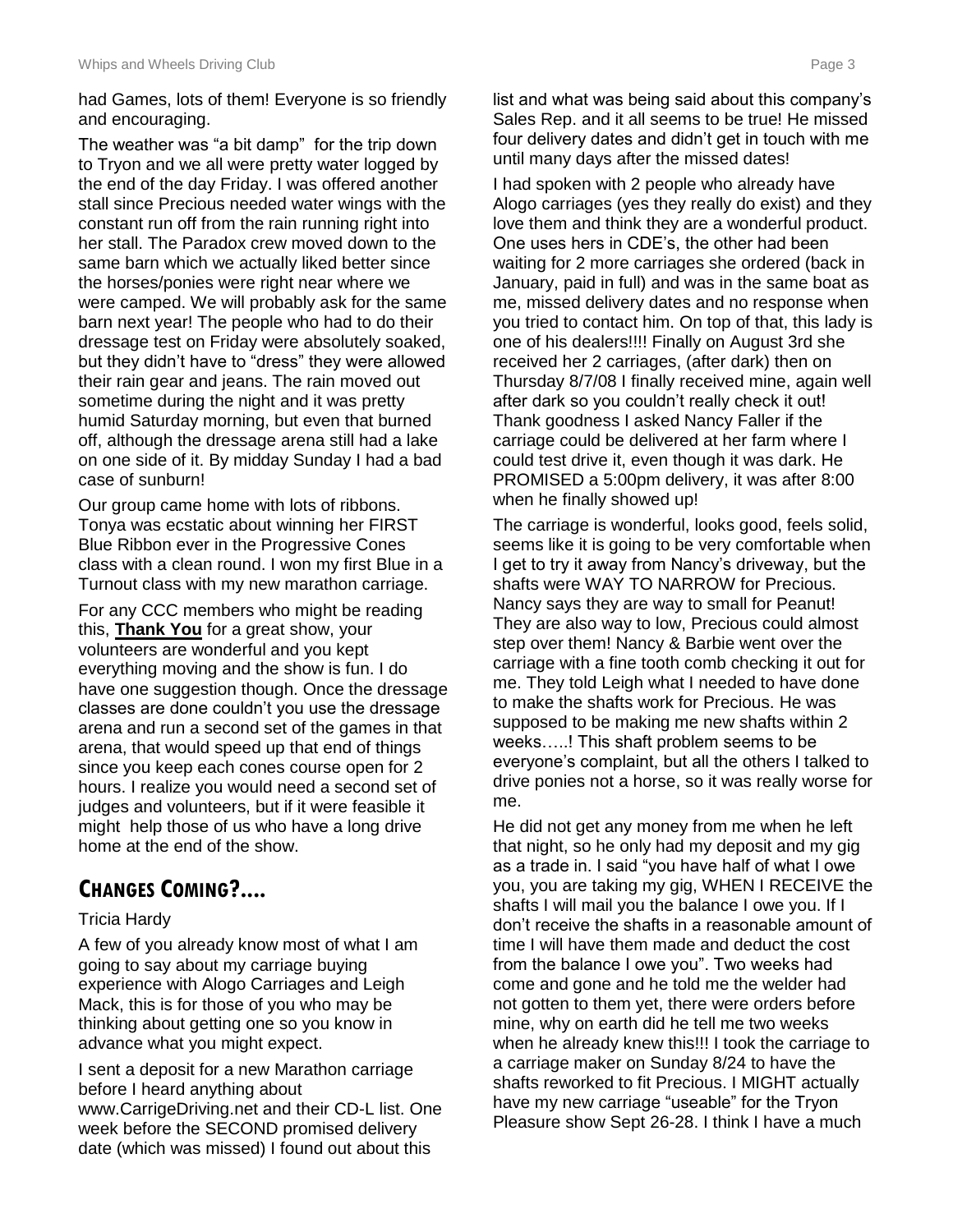had Games, lots of them! Everyone is so friendly and encouraging.

The weather was "a bit damp" for the trip down to Tryon and we all were pretty water logged by the end of the day Friday. I was offered another stall since Precious needed water wings with the constant run off from the rain running right into her stall. The Paradox crew moved down to the same barn which we actually liked better since the horses/ponies were right near where we were camped. We will probably ask for the same barn next year! The people who had to do their dressage test on Friday were absolutely soaked, but they didn't have to "dress" they were allowed their rain gear and jeans. The rain moved out sometime during the night and it was pretty humid Saturday morning, but even that burned off, although the dressage arena still had a lake on one side of it. By midday Sunday I had a bad case of sunburn!

Our group came home with lots of ribbons. Tonya was ecstatic about winning her FIRST Blue Ribbon ever in the Progressive Cones class with a clean round. I won my first Blue in a Turnout class with my new marathon carriage.

For any CCC members who might be reading this, **Thank You** for a great show, your volunteers are wonderful and you kept everything moving and the show is fun. I do have one suggestion though. Once the dressage classes are done couldn't you use the dressage arena and run a second set of the games in that arena, that would speed up that end of things since you keep each cones course open for 2 hours. I realize you would need a second set of judges and volunteers, but if it were feasible it might help those of us who have a long drive home at the end of the show.

### **CHANGES COMING?....**

#### Tricia Hardy

A few of you already know most of what I am going to say about my carriage buying experience with Alogo Carriages and Leigh Mack, this is for those of you who may be thinking about getting one so you know in advance what you might expect.

I sent a deposit for a new Marathon carriage before I heard anything about www.CarrigeDriving.net and their CD-L list. One week before the SECOND promised delivery date (which was missed) I found out about this

list and what was being said about this company's Sales Rep. and it all seems to be true! He missed four delivery dates and didn't get in touch with me until many days after the missed dates!

I had spoken with 2 people who already have Alogo carriages (yes they really do exist) and they love them and think they are a wonderful product. One uses hers in CDE's, the other had been waiting for 2 more carriages she ordered (back in January, paid in full) and was in the same boat as me, missed delivery dates and no response when you tried to contact him. On top of that, this lady is one of his dealers!!!! Finally on August 3rd she received her 2 carriages, (after dark) then on Thursday 8/7/08 I finally received mine, again well after dark so you couldn't really check it out! Thank goodness I asked Nancy Faller if the carriage could be delivered at her farm where I could test drive it, even though it was dark. He PROMISED a 5:00pm delivery, it was after 8:00 when he finally showed up!

The carriage is wonderful, looks good, feels solid, seems like it is going to be very comfortable when I get to try it away from Nancy's driveway, but the shafts were WAY TO NARROW for Precious. Nancy says they are way to small for Peanut! They are also way to low, Precious could almost step over them! Nancy & Barbie went over the carriage with a fine tooth comb checking it out for me. They told Leigh what I needed to have done to make the shafts work for Precious. He was supposed to be making me new shafts within 2 weeks…..! This shaft problem seems to be everyone's complaint, but all the others I talked to drive ponies not a horse, so it was really worse for me.

He did not get any money from me when he left that night, so he only had my deposit and my gig as a trade in. I said "you have half of what I owe you, you are taking my gig, WHEN I RECEIVE the shafts I will mail you the balance I owe you. If I don't receive the shafts in a reasonable amount of time I will have them made and deduct the cost from the balance I owe you". Two weeks had come and gone and he told me the welder had not gotten to them yet, there were orders before mine, why on earth did he tell me two weeks when he already knew this!!! I took the carriage to a carriage maker on Sunday 8/24 to have the shafts reworked to fit Precious. I MIGHT actually have my new carriage "useable" for the Tryon Pleasure show Sept 26-28. I think I have a much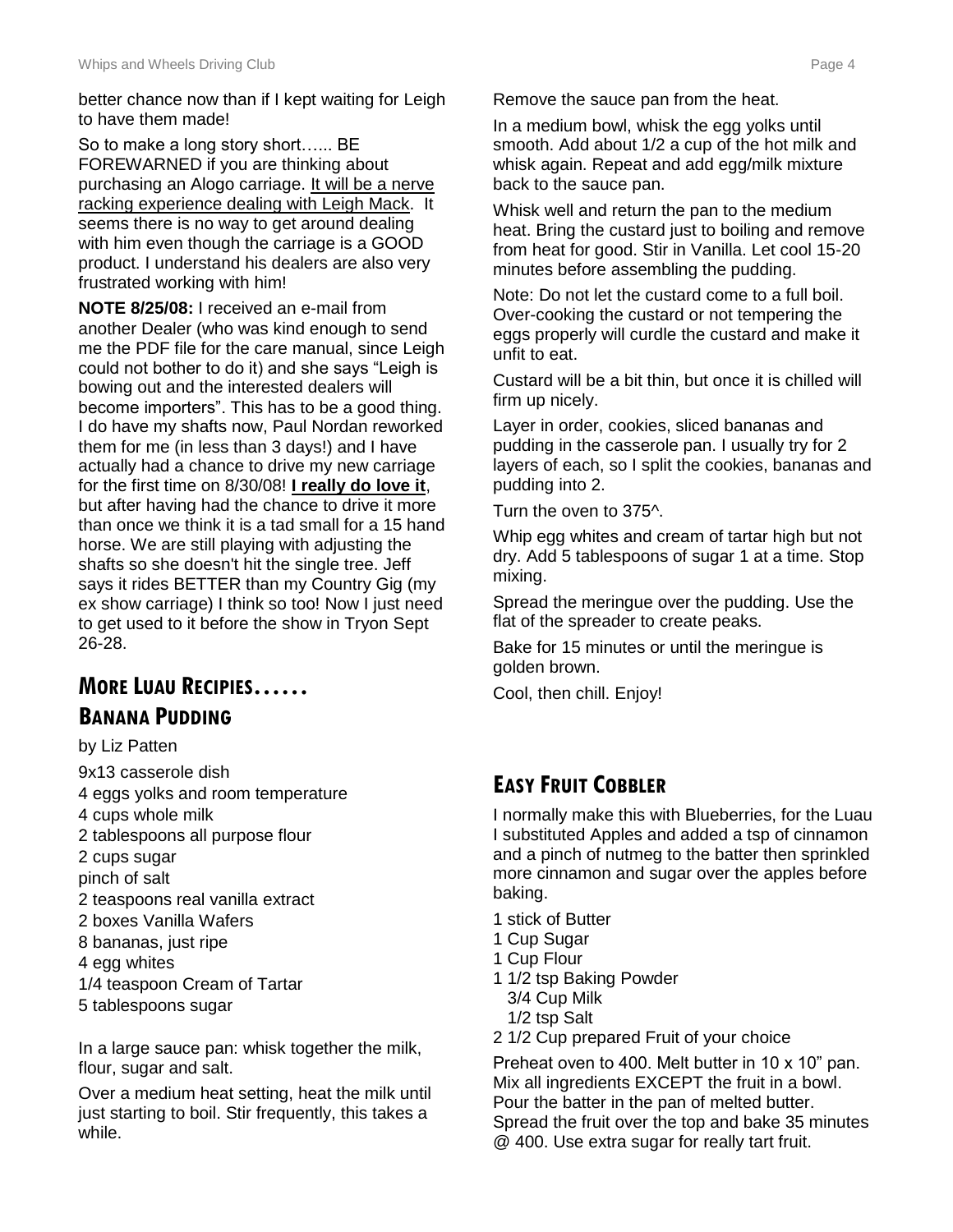better chance now than if I kept waiting for Leigh to have them made!

So to make a long story short...... BE FOREWARNED if you are thinking about purchasing an Alogo carriage. It will be a nerve racking experience dealing with Leigh Mack. It seems there is no way to get around dealing with him even though the carriage is a GOOD product. I understand his dealers are also very frustrated working with him!

**NOTE 8/25/08:** I received an e-mail from another Dealer (who was kind enough to send me the PDF file for the care manual, since Leigh could not bother to do it) and she says "Leigh is bowing out and the interested dealers will become importers". This has to be a good thing. I do have my shafts now, Paul Nordan reworked them for me (in less than 3 days!) and I have actually had a chance to drive my new carriage for the first time on 8/30/08! **I really do love it**, but after having had the chance to drive it more than once we think it is a tad small for a 15 hand horse. We are still playing with adjusting the shafts so she doesn't hit the single tree. Jeff says it rides BETTER than my Country Gig (my ex show carriage) I think so too! Now I just need to get used to it before the show in Tryon Sept 26-28.

### **MORE LUAU RECIPIES…… BANANA PUDDING**

- by Liz Patten
- 9x13 casserole dish 4 eggs yolks and room temperature 4 cups whole milk 2 tablespoons all purpose flour 2 cups sugar pinch of salt 2 teaspoons real vanilla extract 2 boxes Vanilla Wafers 8 bananas, just ripe 4 egg whites 1/4 teaspoon Cream of Tartar 5 tablespoons sugar

In a large sauce pan: whisk together the milk, flour, sugar and salt.

Over a medium heat setting, heat the milk until just starting to boil. Stir frequently, this takes a while.

Remove the sauce pan from the heat.

In a medium bowl, whisk the egg yolks until smooth. Add about 1/2 a cup of the hot milk and whisk again. Repeat and add egg/milk mixture back to the sauce pan.

Whisk well and return the pan to the medium heat. Bring the custard just to boiling and remove from heat for good. Stir in Vanilla. Let cool 15-20 minutes before assembling the pudding.

Note: Do not let the custard come to a full boil. Over-cooking the custard or not tempering the eggs properly will curdle the custard and make it unfit to eat.

Custard will be a bit thin, but once it is chilled will firm up nicely.

Layer in order, cookies, sliced bananas and pudding in the casserole pan. I usually try for 2 layers of each, so I split the cookies, bananas and pudding into 2.

Turn the oven to 375^.

Whip egg whites and cream of tartar high but not dry. Add 5 tablespoons of sugar 1 at a time. Stop mixing.

Spread the meringue over the pudding. Use the flat of the spreader to create peaks.

Bake for 15 minutes or until the meringue is golden brown.

Cool, then chill. Enjoy!

### **EASY FRUIT COBBLER**

I normally make this with Blueberries, for the Luau I substituted Apples and added a tsp of cinnamon and a pinch of nutmeg to the batter then sprinkled more cinnamon and sugar over the apples before baking.

- 1 stick of Butter
- 1 Cup Sugar
- 1 Cup Flour
- 1 1/2 tsp Baking Powder
	- 3/4 Cup Milk
- 1/2 tsp Salt
- 2 1/2 Cup prepared Fruit of your choice

Preheat oven to 400. Melt butter in 10 x 10" pan. Mix all ingredients EXCEPT the fruit in a bowl. Pour the batter in the pan of melted butter. Spread the fruit over the top and bake 35 minutes @ 400. Use extra sugar for really tart fruit.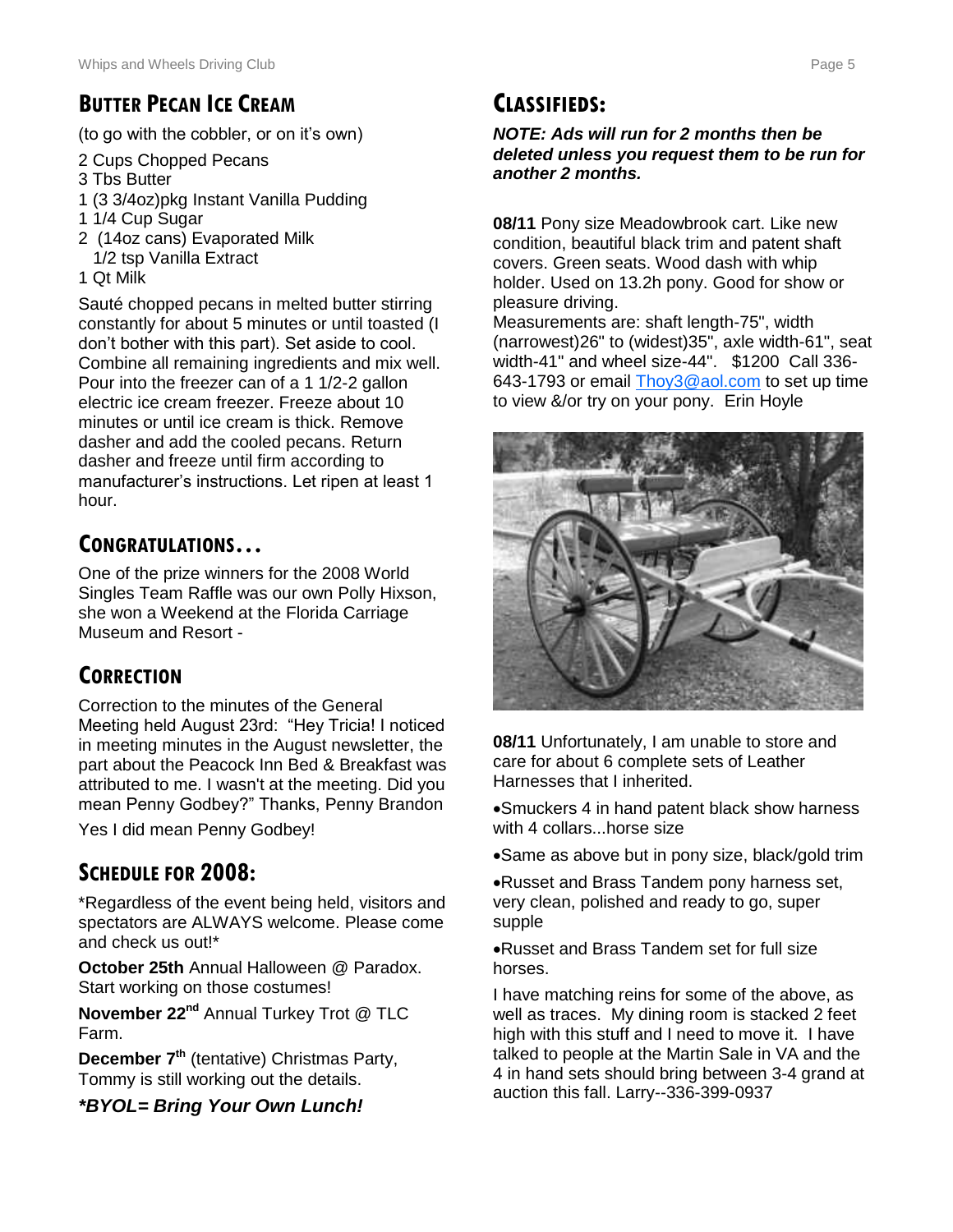### **BUTTER PECAN ICE CREAM**

(to go with the cobbler, or on it's own)

- 2 Cups Chopped Pecans
- 3 Tbs Butter
- 1 (3 3/4oz)pkg Instant Vanilla Pudding
- 1 1/4 Cup Sugar
- 2 (14oz cans) Evaporated Milk 1/2 tsp Vanilla Extract
- 1 Qt Milk

Sauté chopped pecans in melted butter stirring constantly for about 5 minutes or until toasted (I don't bother with this part). Set aside to cool. Combine all remaining ingredients and mix well. Pour into the freezer can of a 1 1/2-2 gallon electric ice cream freezer. Freeze about 10 minutes or until ice cream is thick. Remove dasher and add the cooled pecans. Return dasher and freeze until firm according to manufacturer's instructions. Let ripen at least 1 hour.

## **CONGRATULATIONS…**

One of the prize winners for the 2008 World Singles Team Raffle was our own Polly Hixson, she won a Weekend at the Florida Carriage Museum and Resort -

### **CORRECTION**

Correction to the minutes of the General Meeting held August 23rd: "Hey Tricia! I noticed in meeting minutes in the August newsletter, the part about the Peacock Inn Bed & Breakfast was attributed to me. I wasn't at the meeting. Did you mean Penny Godbey?" Thanks, Penny Brandon

Yes I did mean Penny Godbey!

### **SCHEDULE FOR 2008:**

\*Regardless of the event being held, visitors and spectators are ALWAYS welcome. Please come and check us out!\*

**October 25th** Annual Halloween @ Paradox. Start working on those costumes!

**November 22nd** Annual Turkey Trot @ TLC Farm.

**December 7th** (tentative) Christmas Party, Tommy is still working out the details.

*\*BYOL= Bring Your Own Lunch!*

### **CLASSIFIEDS:**

#### *NOTE: Ads will run for 2 months then be deleted unless you request them to be run for another 2 months.*

**08/11** Pony size Meadowbrook cart. Like new condition, beautiful black trim and patent shaft covers. Green seats. Wood dash with whip holder. Used on 13.2h pony. Good for show or pleasure driving.

Measurements are: shaft length-75", width (narrowest)26" to (widest)35", axle width-61", seat width-41" and wheel size-44". \$1200 Call 336- 643-1793 or email [Thoy3@aol.com](mailto:Thoy3@aol.com) to set up time to view &/or try on your pony. Erin Hoyle



**08/11** Unfortunately, I am unable to store and care for about 6 complete sets of Leather Harnesses that I inherited.

Smuckers 4 in hand patent black show harness with 4 collars...horse size

Same as above but in pony size, black/gold trim

Russet and Brass Tandem pony harness set, very clean, polished and ready to go, super supple

Russet and Brass Tandem set for full size horses.

I have matching reins for some of the above, as well as traces. My dining room is stacked 2 feet high with this stuff and I need to move it. I have talked to people at the Martin Sale in VA and the 4 in hand sets should bring between 3-4 grand at auction this fall. Larry--336-399-0937